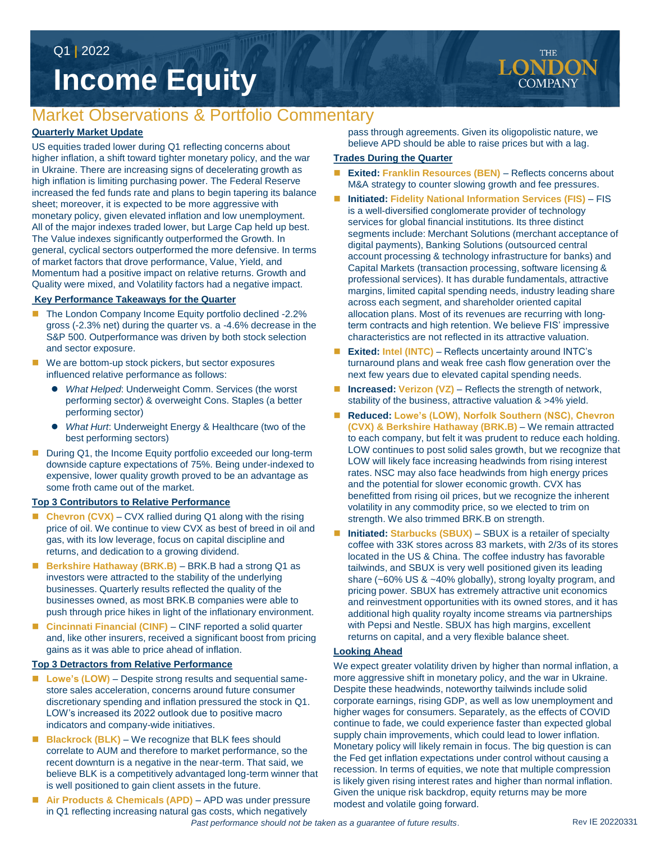Q1 **|** 2022

# **Income Equity**

## Market Observations & Portfolio Commentary

#### **Quarterly Market Update**

US equities traded lower during Q1 reflecting concerns about higher inflation, a shift toward tighter monetary policy, and the war in Ukraine. There are increasing signs of decelerating growth as high inflation is limiting purchasing power. The Federal Reserve increased the fed funds rate and plans to begin tapering its balance sheet; moreover, it is expected to be more aggressive with monetary policy, given elevated inflation and low unemployment. All of the major indexes traded lower, but Large Cap held up best. The Value indexes significantly outperformed the Growth. In general, cyclical sectors outperformed the more defensive. In terms of market factors that drove performance, Value, Yield, and Momentum had a positive impact on relative returns. Growth and Quality were mixed, and Volatility factors had a negative impact.

#### **Key Performance Takeaways for the Quarter**

- The London Company Income Equity portfolio declined -2.2% gross (-2.3% net) during the quarter vs. a -4.6% decrease in the S&P 500. Outperformance was driven by both stock selection and sector exposure.
- We are bottom-up stock pickers, but sector exposures influenced relative performance as follows:
	- *What Helped*: Underweight Comm. Services (the worst performing sector) & overweight Cons. Staples (a better performing sector)
	- *What Hurt*: Underweight Energy & Healthcare (two of the best performing sectors)
- During Q1, the Income Equity portfolio exceeded our long-term downside capture expectations of 75%. Being under-indexed to expensive, lower quality growth proved to be an advantage as some froth came out of the market.

#### **Top 3 Contributors to Relative Performance**

- Chevron (CVX) CVX rallied during Q1 along with the rising price of oil. We continue to view CVX as best of breed in oil and gas, with its low leverage, focus on capital discipline and returns, and dedication to a growing dividend.
- Berkshire Hathaway (BRK.B) BRK.B had a strong Q1 as investors were attracted to the stability of the underlying businesses. Quarterly results reflected the quality of the businesses owned, as most BRK.B companies were able to push through price hikes in light of the inflationary environment.
- Cincinnati Financial (CINF) CINF reported a solid quarter and, like other insurers, received a significant boost from pricing gains as it was able to price ahead of inflation.

#### **Top 3 Detractors from Relative Performance**

- Lowe's (LOW) Despite strong results and sequential samestore sales acceleration, concerns around future consumer discretionary spending and inflation pressured the stock in Q1. LOW's increased its 2022 outlook due to positive macro indicators and company-wide initiatives.
- **Blackrock (BLK)** We recognize that BLK fees should correlate to AUM and therefore to market performance, so the recent downturn is a negative in the near-term. That said, we believe BLK is a competitively advantaged long-term winner that is well positioned to gain client assets in the future.
- **Air Products & Chemicals (APD)**  APD was under pressure in Q1 reflecting increasing natural gas costs, which negatively

pass through agreements. Given its oligopolistic nature, we believe APD should be able to raise prices but with a lag.

#### **Trades During the Quarter**

- **Exited: Franklin Resources (BEN)** Reflects concerns about M&A strategy to counter slowing growth and fee pressures.
- **Initiated: Fidelity National Information Services (FIS)** FIS is a well-diversified conglomerate provider of technology services for global financial institutions. Its three distinct segments include: Merchant Solutions (merchant acceptance of digital payments), Banking Solutions (outsourced central account processing & technology infrastructure for banks) and Capital Markets (transaction processing, software licensing & professional services). It has durable fundamentals, attractive margins, limited capital spending needs, industry leading share across each segment, and shareholder oriented capital allocation plans. Most of its revenues are recurring with longterm contracts and high retention. We believe FIS' impressive characteristics are not reflected in its attractive valuation.
- **Exited: Intel (INTC)**  Reflects uncertainty around INTC's turnaround plans and weak free cash flow generation over the next few years due to elevated capital spending needs.
- Increased: Verizon (VZ) Reflects the strength of network, stability of the business, attractive valuation & >4% yield.
- **Reduced: Lowe's (LOW), Norfolk Southern (NSC), Chevron (CVX) & Berkshire Hathaway (BRK.B)** – We remain attracted to each company, but felt it was prudent to reduce each holding. LOW continues to post solid sales growth, but we recognize that LOW will likely face increasing headwinds from rising interest rates. NSC may also face headwinds from high energy prices and the potential for slower economic growth. CVX has benefitted from rising oil prices, but we recognize the inherent volatility in any commodity price, so we elected to trim on strength. We also trimmed BRK.B on strength.
- Initiated: Starbucks (SBUX) SBUX is a retailer of specialty coffee with 33K stores across 83 markets, with 2/3s of its stores located in the US & China. The coffee industry has favorable tailwinds, and SBUX is very well positioned given its leading share (~60% US & ~40% globally), strong loyalty program, and pricing power. SBUX has extremely attractive unit economics and reinvestment opportunities with its owned stores, and it has additional high quality royalty income streams via partnerships with Pepsi and Nestle. SBUX has high margins, excellent returns on capital, and a very flexible balance sheet.

#### **Looking Ahead**

We expect greater volatility driven by higher than normal inflation, a more aggressive shift in monetary policy, and the war in Ukraine. Despite these headwinds, noteworthy tailwinds include solid corporate earnings, rising GDP, as well as low unemployment and higher wages for consumers. Separately, as the effects of COVID continue to fade, we could experience faster than expected global supply chain improvements, which could lead to lower inflation. Monetary policy will likely remain in focus. The big question is can the Fed get inflation expectations under control without causing a recession. In terms of equities, we note that multiple compression is likely given rising interest rates and higher than normal inflation. Given the unique risk backdrop, equity returns may be more modest and volatile going forward.